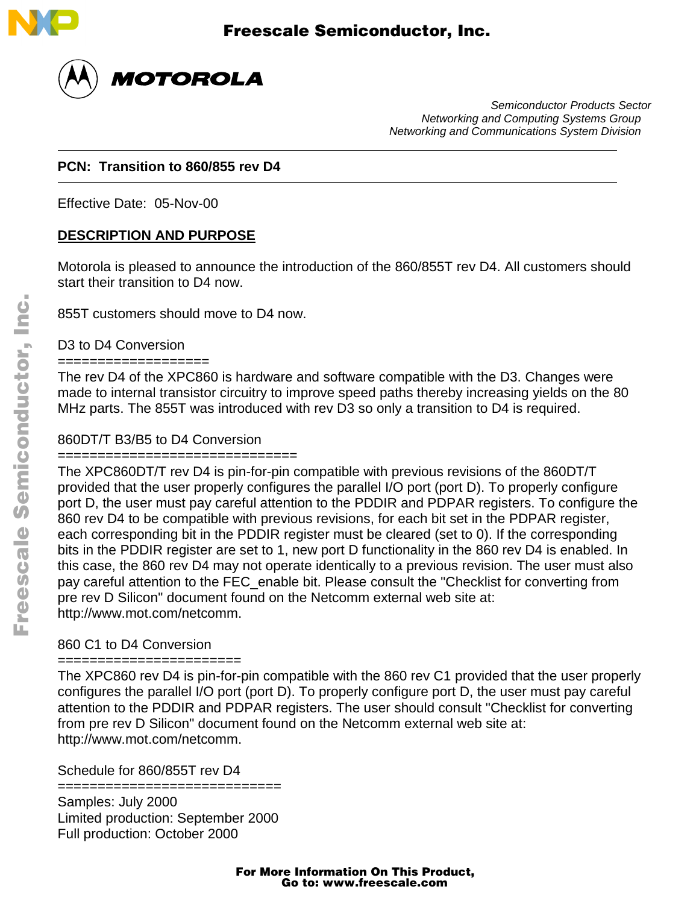

 $\overline{a}$ 

 $\overline{a}$ 



Semiconductor Products Sector Networking and Computing Systems Group Networking and Communications System Division

### **PCN: Transition to 860/855 rev D4**

Effective Date: 05-Nov-00

## **DESCRIPTION AND PURPOSE**

Motorola is pleased to announce the introduction of the 860/855T rev D4. All customers should start their transition to D4 now.

855T customers should move to D4 now.

D3 to D4 Conversion

#### ===================

The rev D4 of the XPC860 is hardware and software compatible with the D3. Changes were made to internal transistor circuitry to improve speed paths thereby increasing yields on the 80 MHz parts. The 855T was introduced with rev D3 so only a transition to D4 is required.

## 860DT/T B3/B5 to D4 Conversion

## ==============================

The XPC860DT/T rev D4 is pin-for-pin compatible with previous revisions of the 860DT/T provided that the user properly configures the parallel I/O port (port D). To properly configure port D, the user must pay careful attention to the PDDIR and PDPAR registers. To configure the 860 rev D4 to be compatible with previous revisions, for each bit set in the PDPAR register, each corresponding bit in the PDDIR register must be cleared (set to 0). If the corresponding bits in the PDDIR register are set to 1, new port D functionality in the 860 rev D4 is enabled. In this case, the 860 rev D4 may not operate identically to a previous revision. The user must also pay careful attention to the FEC\_enable bit. Please consult the "Checklist for converting from pre rev D Silicon" document found on the Netcomm external web site at: http://www.mot.com/netcomm.

## 860 C1 to D4 Conversion

### ====================

The XPC860 rev D4 is pin-for-pin compatible with the 860 rev C1 provided that the user properly configures the parallel I/O port (port D). To properly configure port D, the user must pay careful attention to the PDDIR and PDPAR registers. The user should consult "Checklist for converting from pre rev D Silicon" document found on the Netcomm external web site at: http://www.mot.com/netcomm.

Schedule for 860/855T rev D4

============================

Samples: July 2000 Limited production: September 2000 Full production: October 2000

# For More Information On This Product, Go to: www.freescale.com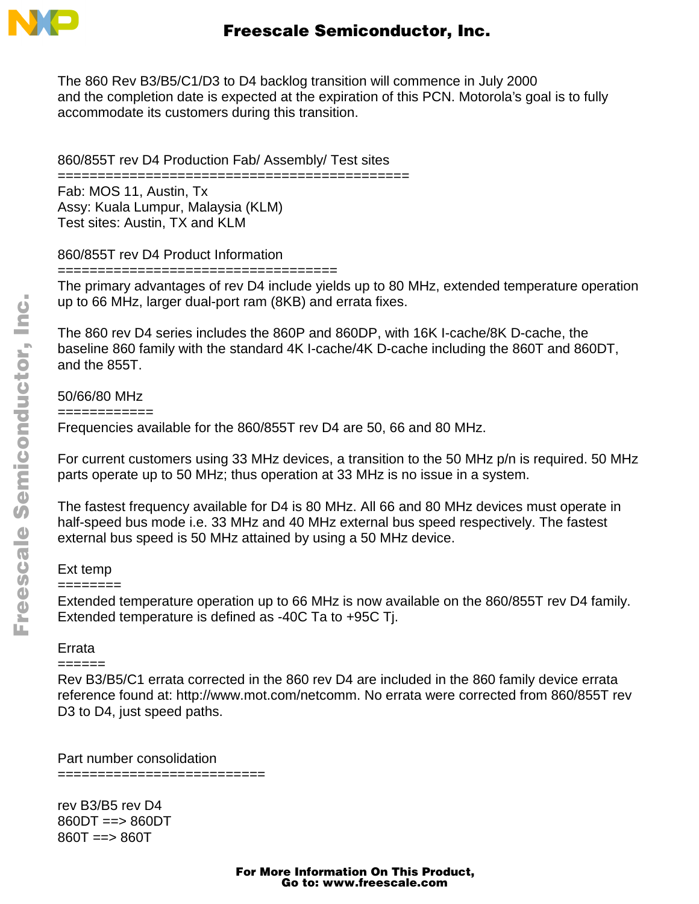

The 860 Rev B3/B5/C1/D3 to D4 backlog transition will commence in July 2000 and the completion date is expected at the expiration of this PCN. Motorola's goal is to fully accommodate its customers during this transition.

860/855T rev D4 Production Fab/ Assembly/ Test sites

============================================

Fab: MOS 11, Austin, Tx Assy: Kuala Lumpur, Malaysia (KLM) Test sites: Austin, TX and KLM

860/855T rev D4 Product Information

===================================

The primary advantages of rev D4 include yields up to 80 MHz, extended temperature operation up to 66 MHz, larger dual-port ram (8KB) and errata fixes.

The 860 rev D4 series includes the 860P and 860DP, with 16K I-cache/8K D-cache, the baseline 860 family with the standard 4K I-cache/4K D-cache including the 860T and 860DT, and the 855T.

50/66/80 MHz

============

Frequencies available for the 860/855T rev D4 are 50, 66 and 80 MHz.

For current customers using 33 MHz devices, a transition to the 50 MHz p/n is required. 50 MHz parts operate up to 50 MHz; thus operation at 33 MHz is no issue in a system.

The fastest frequency available for D4 is 80 MHz. All 66 and 80 MHz devices must operate in half-speed bus mode i.e. 33 MHz and 40 MHz external bus speed respectively. The fastest external bus speed is 50 MHz attained by using a 50 MHz device.

## Ext temp

#### ========

Extended temperature operation up to 66 MHz is now available on the 860/855T rev D4 family. Extended temperature is defined as -40C Ta to +95C Tj.

## Errata

#### ======

Rev B3/B5/C1 errata corrected in the 860 rev D4 are included in the 860 family device errata reference found at: http://www.mot.com/netcomm. No errata were corrected from 860/855T rev D<sub>3</sub> to D<sub>4</sub>, just speed paths.

Part number consolidation ==========================

rev B3/B5 rev D4 860DT ==> 860DT 860T ==> 860T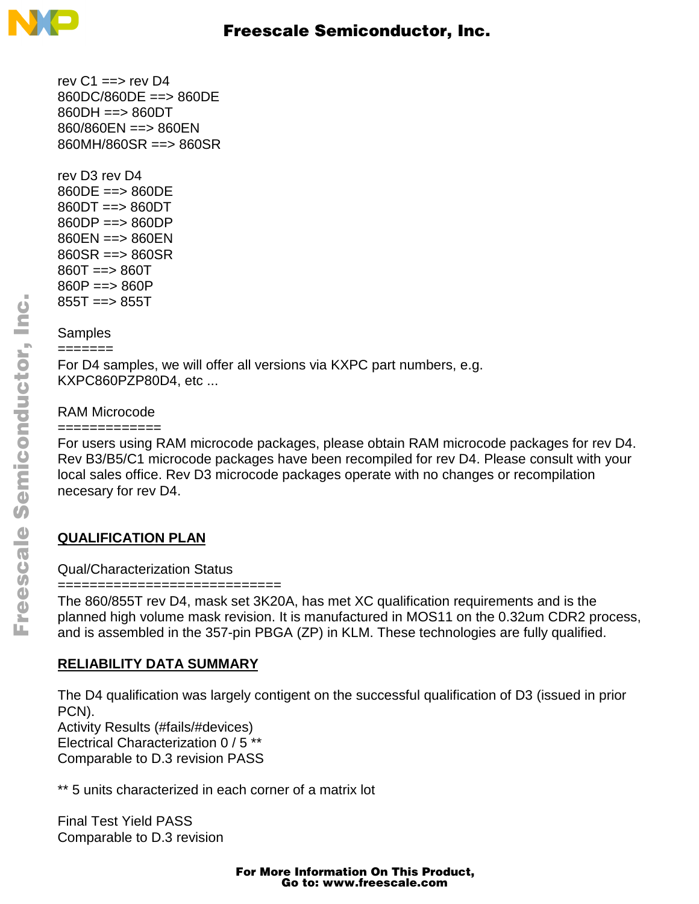

rev  $C1 \rightleftharpoons$  rev D4 860DC/860DE ==> 860DE 860DH ==> 860DT 860/860EN ==> 860EN 860MH/860SR ==> 860SR

rev D3 rev D4 860DE ==> 860DE 860DT ==> 860DT 860DP ==> 860DP 860EN ==> 860EN 860SR ==> 860SR 860T ==> 860T  $860P == > 860P$  $855T == 855T$ 

## **Samples**

=======

For D4 samples, we will offer all versions via KXPC part numbers, e.g. KXPC860PZP80D4, etc ...

## RAM Microcode

=============

For users using RAM microcode packages, please obtain RAM microcode packages for rev D4. Rev B3/B5/C1 microcode packages have been recompiled for rev D4. Please consult with your local sales office. Rev D3 microcode packages operate with no changes or recompilation necesary for rev D4.

## **QUALIFICATION PLAN**

Qual/Characterization Status

============================

The 860/855T rev D4, mask set 3K20A, has met XC qualification requirements and is the planned high volume mask revision. It is manufactured in MOS11 on the 0.32um CDR2 process, and is assembled in the 357-pin PBGA (ZP) in KLM. These technologies are fully qualified.

## **RELIABILITY DATA SUMMARY**

The D4 qualification was largely contigent on the successful qualification of D3 (issued in prior PCN). Activity Results (#fails/#devices) Electrical Characterization 0 / 5 \*\* Comparable to D.3 revision PASS

\*\* 5 units characterized in each corner of a matrix lot

Final Test Yield PASS Comparable to D.3 revision

# For More Information On This Product, Go to: www.freescale.com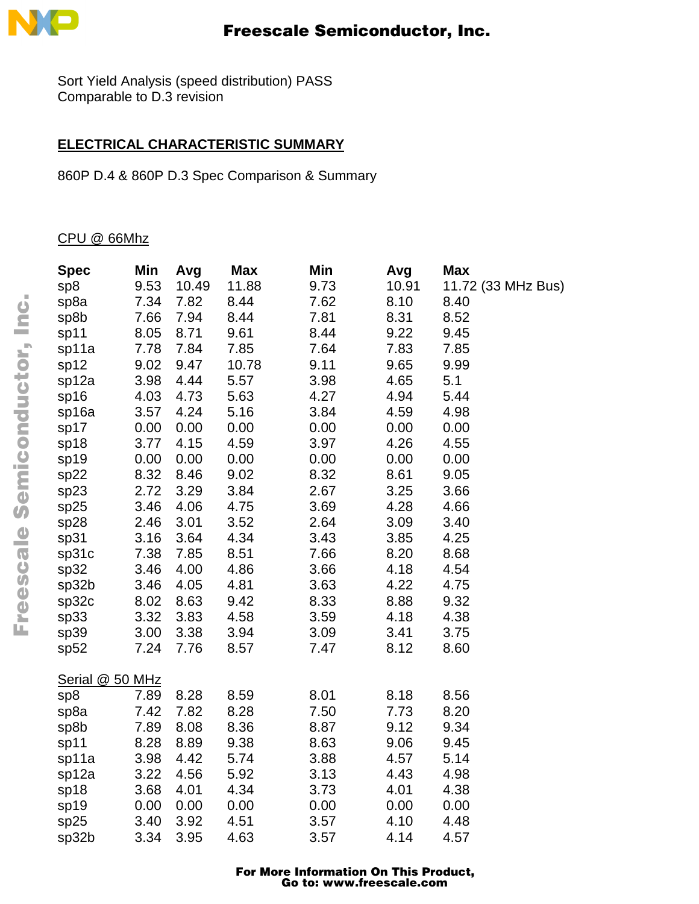

Sort Yield Analysis (speed distribution) PASS Comparable to D.3 revision

## **ELECTRICAL CHARACTERISTIC SUMMARY**

860P D.4 & 860P D.3 Spec Comparison & Summary

CPU @ 66Mhz

| <b>Spec</b>     | Min  | Avg   | <b>Max</b> | Min  | Avg   | <b>Max</b>         |
|-----------------|------|-------|------------|------|-------|--------------------|
| sp8             | 9.53 | 10.49 | 11.88      | 9.73 | 10.91 | 11.72 (33 MHz Bus) |
| sp8a            | 7.34 | 7.82  | 8.44       | 7.62 | 8.10  | 8.40               |
| sp8b            | 7.66 | 7.94  | 8.44       | 7.81 | 8.31  | 8.52               |
| sp11            | 8.05 | 8.71  | 9.61       | 8.44 | 9.22  | 9.45               |
| sp11a           | 7.78 | 7.84  | 7.85       | 7.64 | 7.83  | 7.85               |
| sp12            | 9.02 | 9.47  | 10.78      | 9.11 | 9.65  | 9.99               |
| sp12a           | 3.98 | 4.44  | 5.57       | 3.98 | 4.65  | 5.1                |
| sp16            | 4.03 | 4.73  | 5.63       | 4.27 | 4.94  | 5.44               |
| sp16a           | 3.57 | 4.24  | 5.16       | 3.84 | 4.59  | 4.98               |
| sp17            | 0.00 | 0.00  | 0.00       | 0.00 | 0.00  | 0.00               |
| sp18            | 3.77 | 4.15  | 4.59       | 3.97 | 4.26  | 4.55               |
| sp19            | 0.00 | 0.00  | 0.00       | 0.00 | 0.00  | 0.00               |
| sp22            | 8.32 | 8.46  | 9.02       | 8.32 | 8.61  | 9.05               |
| sp23            | 2.72 | 3.29  | 3.84       | 2.67 | 3.25  | 3.66               |
| sp25            | 3.46 | 4.06  | 4.75       | 3.69 | 4.28  | 4.66               |
| sp28            | 2.46 | 3.01  | 3.52       | 2.64 | 3.09  | 3.40               |
| sp31            | 3.16 | 3.64  | 4.34       | 3.43 | 3.85  | 4.25               |
| sp31c           | 7.38 | 7.85  | 8.51       | 7.66 | 8.20  | 8.68               |
| sp32            | 3.46 | 4.00  | 4.86       | 3.66 | 4.18  | 4.54               |
| sp32b           | 3.46 | 4.05  | 4.81       | 3.63 | 4.22  | 4.75               |
| sp32c           | 8.02 | 8.63  | 9.42       | 8.33 | 8.88  | 9.32               |
| sp33            | 3.32 | 3.83  | 4.58       | 3.59 | 4.18  | 4.38               |
| sp39            | 3.00 | 3.38  | 3.94       | 3.09 | 3.41  | 3.75               |
| sp52            | 7.24 | 7.76  | 8.57       | 7.47 | 8.12  | 8.60               |
| Serial @ 50 MHz |      |       |            |      |       |                    |
| sp8             | 7.89 | 8.28  | 8.59       | 8.01 | 8.18  | 8.56               |
| sp8a            | 7.42 | 7.82  | 8.28       | 7.50 | 7.73  | 8.20               |
| sp8b            | 7.89 | 8.08  | 8.36       | 8.87 | 9.12  | 9.34               |
| sp11            | 8.28 | 8.89  | 9.38       | 8.63 | 9.06  | 9.45               |
| sp11a           | 3.98 | 4.42  | 5.74       | 3.88 | 4.57  | 5.14               |
| sp12a           | 3.22 | 4.56  | 5.92       | 3.13 | 4.43  | 4.98               |
| sp18            | 3.68 | 4.01  | 4.34       | 3.73 | 4.01  | 4.38               |
| sp19            | 0.00 | 0.00  | 0.00       | 0.00 | 0.00  | 0.00               |
| sp25            | 3.40 | 3.92  | 4.51       | 3.57 | 4.10  | 4.48               |
| sp32b           | 3.34 | 3.95  | 4.63       | 3.57 | 4.14  | 4.57               |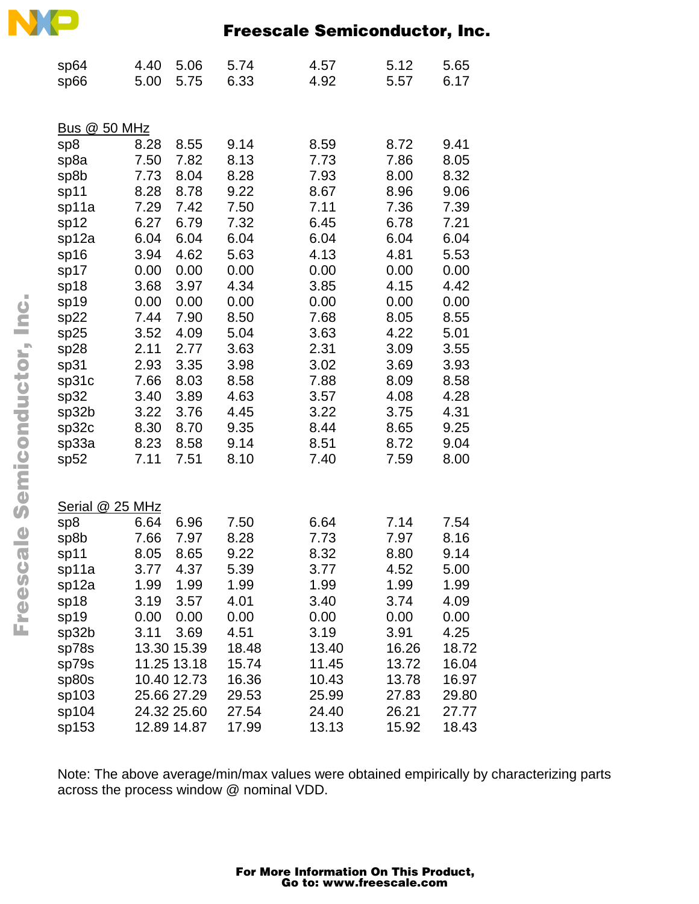| sp64<br>sp66        | 4.40<br>5.00 | 5.06<br>5.75 | 5.74<br>6.33 | 4.57<br>4.92 | 5.12<br>5.57 | 5.65<br>6.17 |
|---------------------|--------------|--------------|--------------|--------------|--------------|--------------|
|                     |              |              |              |              |              |              |
| <b>Bus @ 50 MHz</b> |              |              |              |              |              |              |
| sp8                 | 8.28         | 8.55         | 9.14         | 8.59         | 8.72         | 9.41         |
| sp8a                | 7.50         | 7.82         | 8.13         | 7.73         | 7.86         | 8.05         |
| sp8b                | 7.73         | 8.04         | 8.28         | 7.93         | 8.00         | 8.32         |
| sp11                | 8.28         | 8.78         | 9.22         | 8.67         | 8.96         | 9.06         |
| sp11a               | 7.29         | 7.42         | 7.50         | 7.11         | 7.36         | 7.39         |
| sp12                | 6.27         | 6.79         | 7.32         | 6.45         | 6.78         | 7.21         |
| sp12a               | 6.04         | 6.04         | 6.04         | 6.04         | 6.04         | 6.04         |
| sp16                | 3.94         | 4.62         | 5.63         | 4.13         | 4.81         | 5.53         |
| sp17                | 0.00         | 0.00         | 0.00         | 0.00         | 0.00         | 0.00         |
| sp18                | 3.68         | 3.97         | 4.34         | 3.85         | 4.15         | 4.42         |
| sp19                | 0.00         | 0.00         | 0.00         | 0.00         | 0.00         | 0.00         |
| sp22                | 7.44         | 7.90         | 8.50         | 7.68         | 8.05         | 8.55         |
| sp25                | 3.52         | 4.09         | 5.04         | 3.63         | 4.22         | 5.01         |
| sp28                | 2.11         | 2.77<br>3.35 | 3.63         | 2.31         | 3.09<br>3.69 | 3.55         |
| sp31                | 2.93         | 8.03         | 3.98<br>8.58 | 3.02         | 8.09         | 3.93<br>8.58 |
| sp31c               | 7.66<br>3.40 | 3.89         | 4.63         | 7.88<br>3.57 | 4.08         | 4.28         |
| sp32<br>sp32b       | 3.22         | 3.76         | 4.45         | 3.22         | 3.75         | 4.31         |
| sp32c               | 8.30         | 8.70         | 9.35         | 8.44         | 8.65         | 9.25         |
| sp33a               | 8.23         | 8.58         | 9.14         | 8.51         | 8.72         | 9.04         |
| sp52                | 7.11         | 7.51         | 8.10         | 7.40         | 7.59         | 8.00         |
|                     |              |              |              |              |              |              |
| Serial              | @ 25 MHz     |              |              |              |              |              |
| sp8                 | 6.64         | 6.96         | 7.50         | 6.64         | 7.14         | 7.54         |
| sp8b                | 7.66         | 7.97         | 8.28         | 7.73         | 7.97         | 8.16         |
| sp11                | 8.05         | 8.65         | 9.22         | 8.32         | 8.80         | 9.14         |
| sp11a               | 3.77         | 4.37         | 5.39         | 3.77         | 4.52         | 5.00         |
| sp12a               | 1.99         | 1.99         | 1.99         | 1.99         | 1.99         | 1.99         |
| sp18                | 3.19         | 3.57         | 4.01         | 3.40         | 3.74         | 4.09         |
| sp19                | 0.00         | 0.00         | 0.00         | 0.00         | 0.00         | 0.00         |
| sp32b               | 3.11         | 3.69         | 4.51         | 3.19         | 3.91         | 4.25         |
| sp78s               |              | 13.30 15.39  | 18.48        | 13.40        | 16.26        | 18.72        |
| sp79s               |              | 11.25 13.18  | 15.74        | 11.45        | 13.72        | 16.04        |
| sp80s               |              | 10.40 12.73  | 16.36        | 10.43        | 13.78        | 16.97        |
| sp103               |              | 25.66 27.29  | 29.53        | 25.99        | 27.83        | 29.80        |
| sp104               |              | 24.32 25.60  | 27.54        | 24.40        | 26.21        | 27.77        |
| sp153               |              | 12.89 14.87  | 17.99        | 13.13        | 15.92        | 18.43        |

Note: The above average/min/max values were obtained empirically by characterizing parts across the process window @ nominal VDD.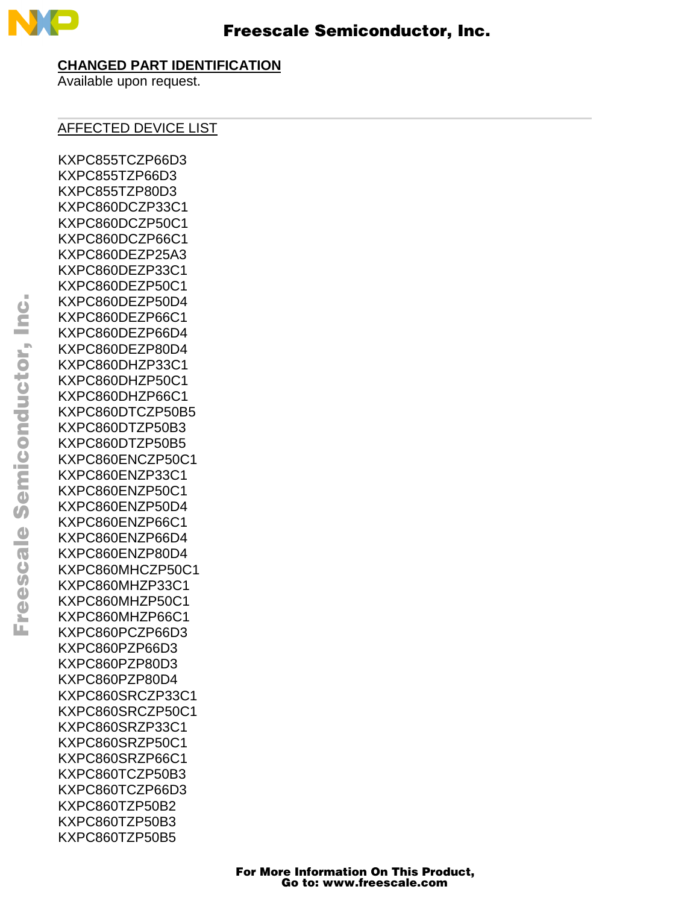

#### **CHANGED PART IDENTIFICATION**

Available upon request.

## AFFECTED DEVICE LIST

KXPC855TCZP66D3 KXPC855TZP66D3 KXPC855TZP80D3 KXPC860DCZP33C1 KXPC860DCZP50C1 KXPC860DCZP66C1 KXPC860DEZP25A3 KXPC860DEZP33C1 KXPC860DEZP50C1 KXPC860DEZP50D4 KXPC860DEZP66C1 KXPC860DEZP66D4 KXPC860DEZP80D4 KXPC860DHZP33C1 KXPC860DHZP50C1 KXPC860DHZP66C1 KXPC860DTCZP50B5 KXPC860DTZP50B3 KXPC860DTZP50B5 KXPC860ENCZP50C1 KXPC860ENZP33C1 KXPC860ENZP50C1 KXPC860ENZP50D4 KXPC860ENZP66C1 KXPC860ENZP66D4 KXPC860ENZP80D4 KXPC860MHCZP50C1 KXPC860MHZP33C1 KXPC860MHZP50C1 KXPC860MHZP66C1 KXPC860PCZP66D3 KXPC860PZP66D3 KXPC860PZP80D3 KXPC860PZP80D4 KXPC860SRCZP33C1 KXPC860SRCZP50C1 KXPC860SRZP33C1 KXPC860SRZP50C1 KXPC860SRZP66C1 KXPC860TCZP50B3 KXPC860TCZP66D3 KXPC860TZP50B2 KXPC860TZP50B3 KXPC860TZP50B5

F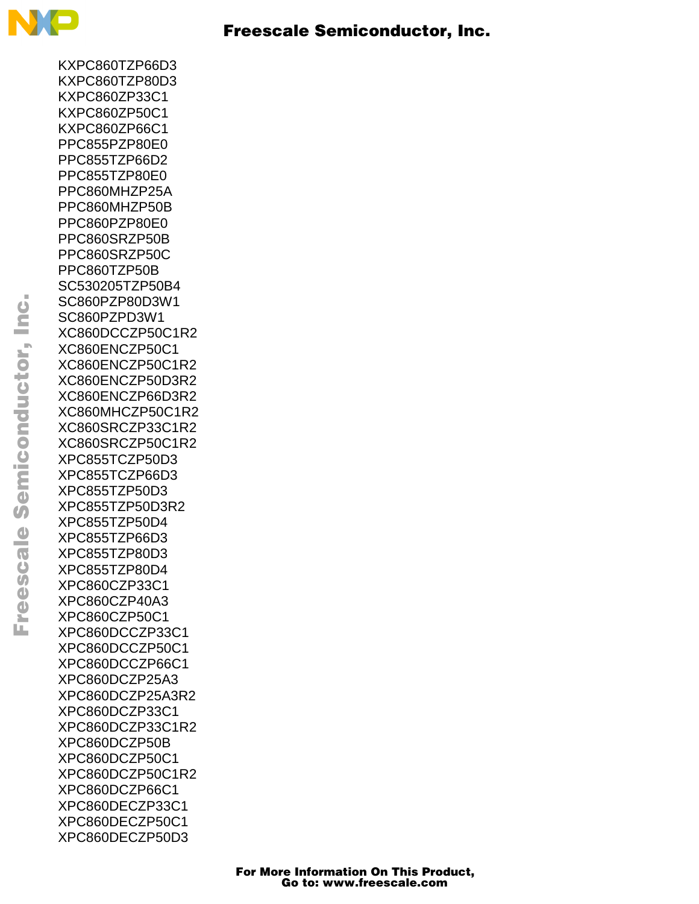

KXPC860TZP66D3 KXPC860TZP80D3 KXPC860ZP33C1 KXPC860ZP50C1 KXPC860ZP66C1 PPC855PZP80E0 PPC855TZP66D2 PPC855TZP80E0 PPC860MHZP25A PPC860MHZP50B PPC860PZP80E0 PPC860SRZP50B PPC860SRZP50C PPC860TZP50B SC530205TZP50B4 SC860PZP80D3W1 SC860PZPD3W1 XC860DCCZP50C1R2 XC860ENCZP50C1 XC860ENCZP50C1R2 XC860ENCZP50D3R2 XC860ENCZP66D3R2 XC860MHCZP50C1R2 XC860SRCZP33C1R2 XC860SRCZP50C1R2 XPC855TCZP50D3 XPC855TCZP66D3 XPC855TZP50D3 XPC855TZP50D3R2 XPC855TZP50D4 XPC855TZP66D3 XPC855TZP80D3 XPC855TZP80D4 XPC860CZP33C1 XPC860CZP40A3 XPC860CZP50C1 XPC860DCCZP33C1 XPC860DCCZP50C1 XPC860DCCZP66C1 XPC860DCZP25A3 XPC860DCZP25A3R2 XPC860DCZP33C1 XPC860DCZP33C1R2 XPC860DCZP50B XPC860DCZP50C1 XPC860DCZP50C1R2 XPC860DCZP66C1 XPC860DECZP33C1 XPC860DECZP50C1 XPC860DECZP50D3

o  $\blacksquare$ d u  $\mathbf 0$ t o

r, I

 $\blacksquare$ 

.<br>ق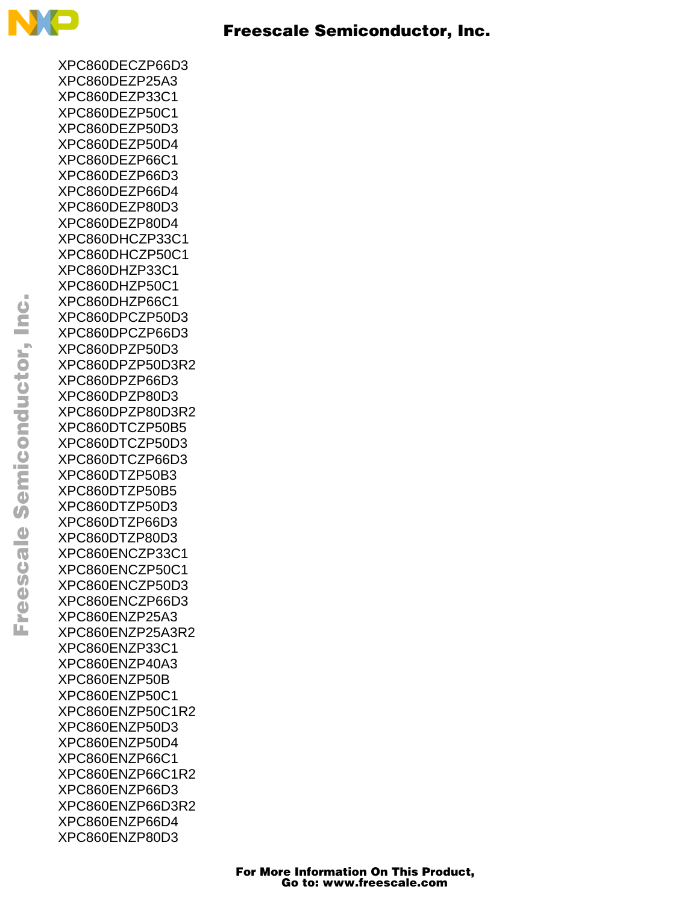

XPC860DECZP66D3 XPC860DEZP25A3 XPC860DEZP33C1 XPC860DEZP50C1 XPC860DEZP50D3 XPC860DEZP50D4 XPC860DEZP66C1 XPC860DEZP66D3 XPC860DEZP66D4 XPC860DEZP80D3 XPC860DEZP80D4 XPC860DHCZP33C1 XPC860DHCZP50C1 XPC860DHZP33C1 XPC860DHZP50C1 XPC860DHZP66C1 XPC860DPCZP50D3 XPC860DPCZP66D3 XPC860DPZP50D3 XPC860DPZP50D3R2 XPC860DPZP66D3 XPC860DPZP80D3 XPC860DPZP80D3R2 XPC860DTCZP50B5 XPC860DTCZP50D3 XPC860DTCZP66D3 XPC860DTZP50B3 XPC860DTZP50B5 XPC860DTZP50D3 XPC860DTZP66D3 XPC860DTZP80D3 XPC860ENCZP33C1 XPC860ENCZP50C1 XPC860ENCZP50D3 XPC860ENCZP66D3 XPC860ENZP25A3 XPC860ENZP25A3R2 XPC860ENZP33C1 XPC860ENZP40A3 XPC860ENZP50B XPC860ENZP50C1 XPC860ENZP50C1R2 XPC860ENZP50D3 XPC860ENZP50D4 XPC860ENZP66C1 XPC860ENZP66C1R2 XPC860ENZP66D3 XPC860ENZP66D3R2 XPC860ENZP66D4 XPC860ENZP80D3

 $\mathbf 0$ t o

r, I

 $\blacksquare$ 

.<br>ق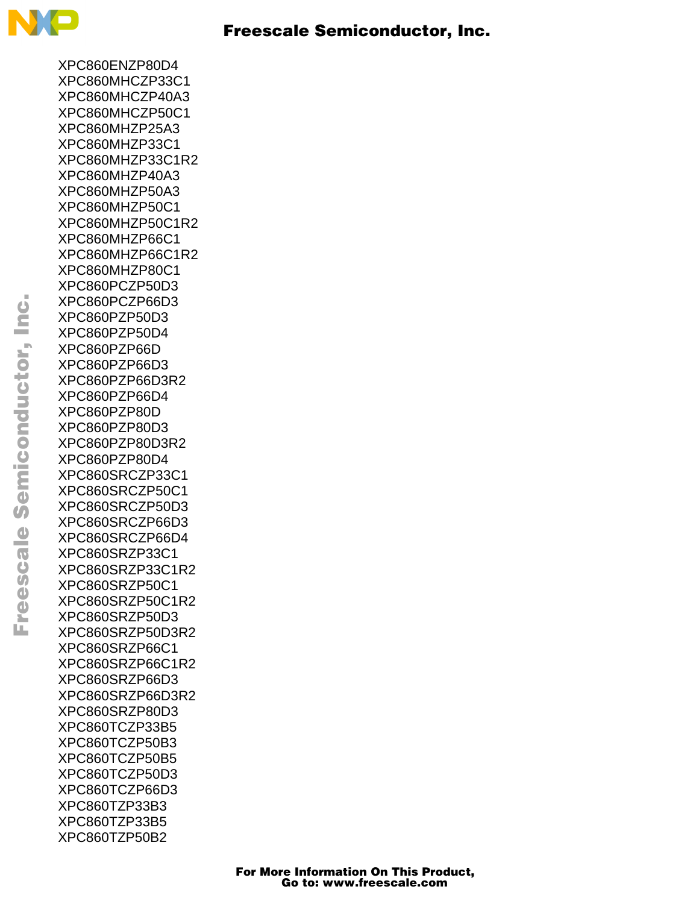

XPC860ENZP80D4 XPC860MHCZP33C1 XPC860MHCZP40A3 XPC860MHCZP50C1 XPC860MHZP25A3 XPC860MHZP33C1 XPC860MHZP33C1R2 XPC860MHZP40A3 XPC860MHZP50A3 XPC860MHZP50C1 XPC860MHZP50C1R2 XPC860MHZP66C1 XPC860MHZP66C1R2 XPC860MHZP80C1 XPC860PCZP50D3 XPC860PCZP66D3 XPC860PZP50D3 XPC860PZP50D4 XPC860PZP66D XPC860PZP66D3 XPC860PZP66D3R2 XPC860PZP66D4 XPC860PZP80D XPC860PZP80D3 XPC860PZP80D3R2 XPC860PZP80D4 XPC860SRCZP33C1 XPC860SRCZP50C1 XPC860SRCZP50D3 XPC860SRCZP66D3 XPC860SRCZP66D4 XPC860SRZP33C1 XPC860SRZP33C1R2 XPC860SRZP50C1 XPC860SRZP50C1R2 XPC860SRZP50D3 XPC860SRZP50D3R2 XPC860SRZP66C1 XPC860SRZP66C1R2 XPC860SRZP66D3 XPC860SRZP66D3R2 XPC860SRZP80D3 XPC860TCZP33B5 XPC860TCZP50B3 XPC860TCZP50B5 XPC860TCZP50D3 XPC860TCZP66D3 XPC860TZP33B3 XPC860TZP33B5 XPC860TZP50B2